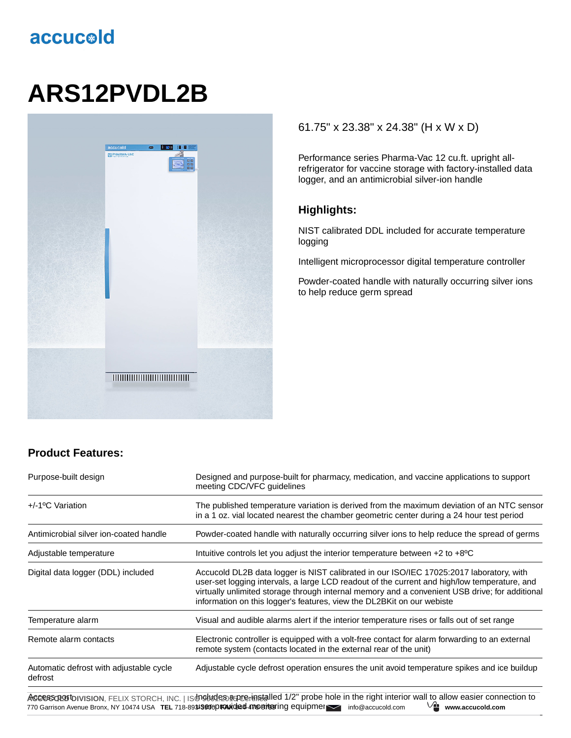## accucold

# **ARS12PVDL2B**



### **Product Features:**

#### Purpose-built design Designed and purpose-built for pharmacy, medication, and vaccine applications to support meeting CDC/VFC guidelines +/-1ºC Variation The published temperature variation is derived from the maximum deviation of an NTC sensor in a 1 oz. vial located nearest the chamber geometric center during a 24 hour test period Antimicrobial silver ion-coated handle Powder-coated handle with naturally occurring silver ions to help reduce the spread of germs Adjustable temperature **Intuitive controls let you adjust the interior temperature between +2 to +8°C** Digital data logger (DDL) included Accucold DL2B data logger is NIST calibrated in our ISO/IEC 17025:2017 laboratory, with user-set logging intervals, a large LCD readout of the current and high/low temperature, and virtually unlimited storage through internal memory and a convenient USB drive; for additional information on this logger's features, view the DL2BKit on our webiste Temperature alarm Visual and audible alarms alert if the interior temperature rises or falls out of set range Remote alarm contacts Electronic controller is equipped with a volt-free contact for alarm forwarding to an external remote system (contacts located in the external rear of the unit) Automatic defrost with adjustable cycle defrost Adjustable cycle defrost operation ensures the unit avoid temperature spikes and ice buildup

**Ассеязов b**ivision, FELIX STORCH, INC. | isਗ9tиdе தைமுகு installed 1/2" probe hole in the right interior wall to allow easier connection to 770 Garrison Avenue Bronx, NY 10474 USA **TEL 718-893JS9016DAX deed 4789B7t99** info@accucold.com <sup>Virt</sup> www.accucold.com

#### 61.75" x 23.38" x 24.38" (H x W x D)

Performance series Pharma-Vac 12 cu.ft. upright allrefrigerator for vaccine storage with factory-installed data logger, and an antimicrobial silver-ion handle

#### **Highlights:**

NIST calibrated DDL included for accurate temperature logging

Intelligent microprocessor digital temperature controller

Powder-coated handle with naturally occurring silver ions to help reduce germ spread